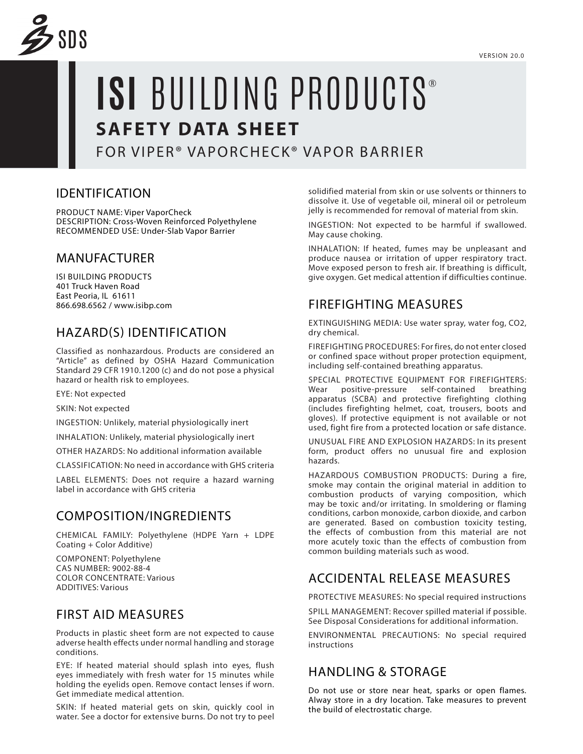

# **ISI BUILDING PRODUCTS® SAFETY DATA SHEET**

FOR VIPER® VAPORCHECK® VAPOR BARRIER

# IDENTIFICATION

PRODUCT NAME: Viper VaporCheck DESCRIPTION: Cross-Woven Reinforced Polyethylene RECOMMENDED USE: Under-Slab Vapor Barrier

## MANUFACTURER

ISI BUILDING PRODUCTS 401 Truck Haven Road East Peoria, IL 61611 866.698.6562 / www.isibp.com

# HAZARD(S) IDENTIFICATION

Classified as nonhazardous. Products are considered an "Article" as defined by OSHA Hazard Communication Standard 29 CFR 1910.1200 (c) and do not pose a physical hazard or health risk to employees.

EYE: Not expected

SKIN: Not expected

INGESTION: Unlikely, material physiologically inert

INHALATION: Unlikely, material physiologically inert

OTHER HAZARDS: No additional information available

CLASSIFICATION: No need in accordance with GHS criteria

LABEL ELEMENTS: Does not require a hazard warning label in accordance with GHS criteria

# COMPOSITION/INGREDIENTS

CHEMICAL FAMILY: Polyethylene (HDPE Yarn + LDPE Coating + Color Additive)

COMPONENT: Polyethylene CAS NUMBER: 9002-88-4 COLOR CONCENTRATE: Various ADDITIVES: Various

# FIRST AID MEASURES

Products in plastic sheet form are not expected to cause adverse health effects under normal handling and storage conditions.

EYE: If heated material should splash into eyes, flush eyes immediately with fresh water for 15 minutes while holding the eyelids open. Remove contact lenses if worn. Get immediate medical attention.

SKIN: If heated material gets on skin, quickly cool in water. See a doctor for extensive burns. Do not try to peel

solidified material from skin or use solvents or thinners to dissolve it. Use of vegetable oil, mineral oil or petroleum jelly is recommended for removal of material from skin.

INGESTION: Not expected to be harmful if swallowed. May cause choking.

INHALATION: If heated, fumes may be unpleasant and produce nausea or irritation of upper respiratory tract. Move exposed person to fresh air. If breathing is difficult, give oxygen. Get medical attention if difficulties continue.

## FIREFIGHTING MEASURES

EXTINGUISHING MEDIA: Use water spray, water fog, CO2, dry chemical.

FIREFIGHTING PROCEDURES: For fires, do not enter closed or confined space without proper protection equipment, including self-contained breathing apparatus.

SPECIAL PROTECTIVE EQUIPMENT FOR FIREFIGHTERS: Wear positive-pressure self-contained breathing apparatus (SCBA) and protective firefighting clothing (includes firefighting helmet, coat, trousers, boots and gloves). If protective equipment is not available or not used, fight fire from a protected location or safe distance.

UNUSUAL FIRE AND EXPLOSION HAZARDS: In its present form, product offers no unusual fire and explosion hazards.

HAZARDOUS COMBUSTION PRODUCTS: During a fire, smoke may contain the original material in addition to combustion products of varying composition, which may be toxic and/or irritating. In smoldering or flaming conditions, carbon monoxide, carbon dioxide, and carbon are generated. Based on combustion toxicity testing, the effects of combustion from this material are not more acutely toxic than the effects of combustion from common building materials such as wood.

# ACCIDENTAL RELEASE MEASURES

PROTECTIVE MEASURES: No special required instructions

SPILL MANAGEMENT: Recover spilled material if possible. See Disposal Considerations for additional information.

ENVIRONMENTAL PRECAUTIONS: No special required instructions

# HANDLING & STORAGE

Do not use or store near heat, sparks or open flames. Alway store in a dry location. Take measures to prevent the build of electrostatic charge.